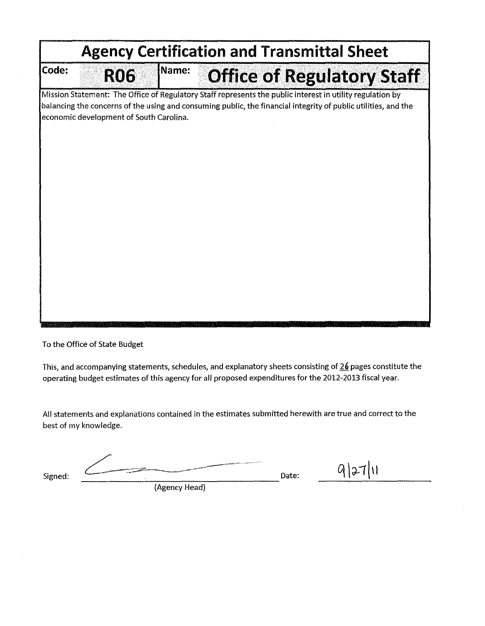|                                                                                                                                                                                                                                                                        | <b>Agency Certification and Transmittal Sheet</b> |              |                                   |  |  |  |  |
|------------------------------------------------------------------------------------------------------------------------------------------------------------------------------------------------------------------------------------------------------------------------|---------------------------------------------------|--------------|-----------------------------------|--|--|--|--|
| Code:                                                                                                                                                                                                                                                                  | <b>RO6</b>                                        | <b>Name:</b> | <b>Office of Regulatory Staff</b> |  |  |  |  |
| Mission Statement: The Office of Regulatory Staff represents the public interest in utility regulation by<br>balancing the concerns of the using and consuming public, the financial integrity of public utilities, and the<br>economic development of South Carolina. |                                                   |              |                                   |  |  |  |  |
|                                                                                                                                                                                                                                                                        |                                                   |              |                                   |  |  |  |  |
|                                                                                                                                                                                                                                                                        |                                                   |              |                                   |  |  |  |  |
|                                                                                                                                                                                                                                                                        |                                                   |              |                                   |  |  |  |  |
|                                                                                                                                                                                                                                                                        |                                                   |              |                                   |  |  |  |  |
|                                                                                                                                                                                                                                                                        |                                                   |              |                                   |  |  |  |  |
|                                                                                                                                                                                                                                                                        |                                                   |              |                                   |  |  |  |  |

To the Office of State Budget

This, and accompanying statements, schedules, and explanatory sheets consisting of 26 pages constitute the operating budget estimates of this agency for all proposed expenditures for the 2012-2013 fiscal year.

All statements and explanations contained in the estimates submitted herewith are true and correct to the best of my knowledge.

Signed:  $\overbrace{\qquad \qquad }^{Signed:}$  Date:

 $9|27|11$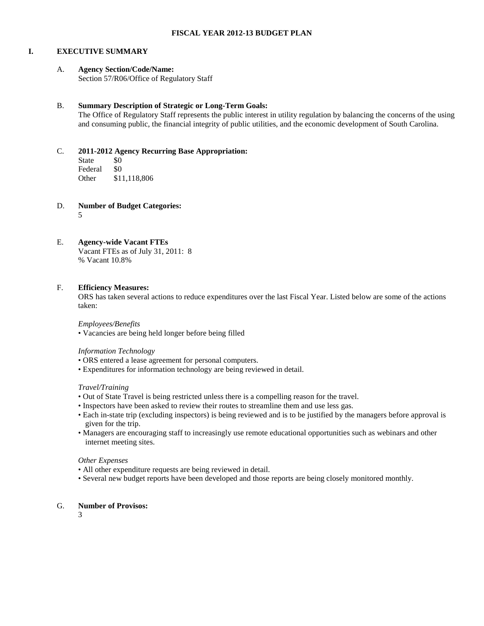#### **I. EXECUTIVE SUMMARY**

#### A. **Agency Section/Code/Name:**

Section 57/R06/Office of Regulatory Staff

#### B. **Summary Description of Strategic or Long-Term Goals:**

The Office of Regulatory Staff represents the public interest in utility regulation by balancing the concerns of the using and consuming public, the financial integrity of public utilities, and the economic development of South Carolina.

#### C. **2011-2012 Agency Recurring Base Appropriation:**

State \$0 Federal \$0<br>Other \$1 \$11,118,806

D. **Number of Budget Categories:**

5

#### E. **Agency-wide Vacant FTEs**

Vacant FTEs as of July 31, 2011: 8 % Vacant 10.8%

#### F. **Efficiency Measures:**

ORS has taken several actions to reduce expenditures over the last Fiscal Year. Listed below are some of the actions taken:

*Employees/Benefits*

• Vacancies are being held longer before being filled

#### *Information Technology*

- ORS entered a lease agreement for personal computers.
- Expenditures for information technology are being reviewed in detail.

#### *Travel/Training*

- Out of State Travel is being restricted unless there is a compelling reason for the travel.
- Inspectors have been asked to review their routes to streamline them and use less gas.
- Each in-state trip (excluding inspectors) is being reviewed and is to be justified by the managers before approval is given for the trip.
- Managers are encouraging staff to increasingly use remote educational opportunities such as webinars and other internet meeting sites.

#### *Other Expenses*

- All other expenditure requests are being reviewed in detail.
- Several new budget reports have been developed and those reports are being closely monitored monthly.

#### G. **Number of Provisos:**

3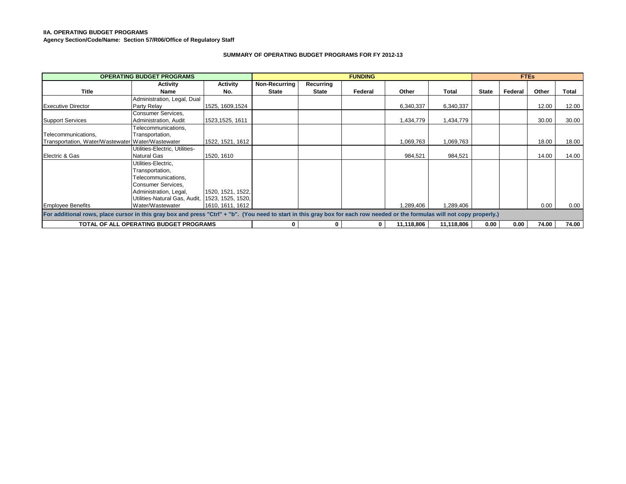#### **IIA. OPERATING BUDGET PROGRAMS**

**Agency Section/Code/Name: Section 57/R06/Office of Regulatory Staff**

#### **SUMMARY OF OPERATING BUDGET PROGRAMS FOR FY 2012-13**

|                                                                                                                                                                             | <b>OPERATING BUDGET PROGRAMS</b>              |                   |               |           | <b>FUNDING</b> |            |            |              | <b>FTEs</b> |       |       |
|-----------------------------------------------------------------------------------------------------------------------------------------------------------------------------|-----------------------------------------------|-------------------|---------------|-----------|----------------|------------|------------|--------------|-------------|-------|-------|
|                                                                                                                                                                             | Activity                                      | Activity          | Non-Recurring | Recurring |                |            |            |              |             |       |       |
| Title                                                                                                                                                                       | Name                                          | No.               | <b>State</b>  | State     | Federal        | Other      | Total      | <b>State</b> | Federal     | Other | Total |
|                                                                                                                                                                             | Administration, Legal, Dual                   |                   |               |           |                |            |            |              |             |       |       |
| <b>Executive Director</b>                                                                                                                                                   | Party Relay                                   | 1525, 1609, 1524  |               |           |                | 6,340,337  | 6,340,337  |              |             | 12.00 | 12.00 |
|                                                                                                                                                                             | Consumer Services,                            |                   |               |           |                |            |            |              |             |       |       |
| <b>Support Services</b>                                                                                                                                                     | Administration, Audit                         | 1523, 1525, 1611  |               |           |                | 1,434,779  | 1,434,779  |              |             | 30.00 | 30.00 |
|                                                                                                                                                                             | Telecommunications,                           |                   |               |           |                |            |            |              |             |       |       |
| Telecommunications.                                                                                                                                                         | Transportation,                               |                   |               |           |                |            |            |              |             |       |       |
| Transportation, Water/Wastewater Water/Wastewater                                                                                                                           |                                               | 1522, 1521, 1612  |               |           |                | 1,069,763  | 1,069,763  |              |             | 18.00 | 18.00 |
|                                                                                                                                                                             | Utilities-Electric, Utilities-                |                   |               |           |                |            |            |              |             |       |       |
| Electric & Gas                                                                                                                                                              | Natural Gas                                   | 1520, 1610        |               |           |                | 984,521    | 984,521    |              |             | 14.00 | 14.00 |
|                                                                                                                                                                             | Utilities-Electric,                           |                   |               |           |                |            |            |              |             |       |       |
|                                                                                                                                                                             | Transportation,                               |                   |               |           |                |            |            |              |             |       |       |
|                                                                                                                                                                             | Telecommunications,                           |                   |               |           |                |            |            |              |             |       |       |
|                                                                                                                                                                             | Consumer Services,                            |                   |               |           |                |            |            |              |             |       |       |
|                                                                                                                                                                             | Administration, Legal,                        | 1520, 1521, 1522, |               |           |                |            |            |              |             |       |       |
|                                                                                                                                                                             | Utilities-Natural Gas, Audit,                 | 1523, 1525, 1520, |               |           |                |            |            |              |             |       |       |
| <b>Employee Benefits</b>                                                                                                                                                    | Water/Wastewater                              | 1610, 1611, 1612  |               |           |                | 1,289,406  | 1,289,406  |              |             | 0.00  | 0.00  |
| For additional rows, place cursor in this gray box and press "Ctrl" + "b". (You need to start in this gray box for each row needed or the formulas will not copy properly.) |                                               |                   |               |           |                |            |            |              |             |       |       |
|                                                                                                                                                                             | <b>TOTAL OF ALL OPERATING BUDGET PROGRAMS</b> |                   | $\mathbf 0$   |           | 0              | 11,118,806 | 11,118,806 | 0.00         | 0.00        | 74.00 | 74.00 |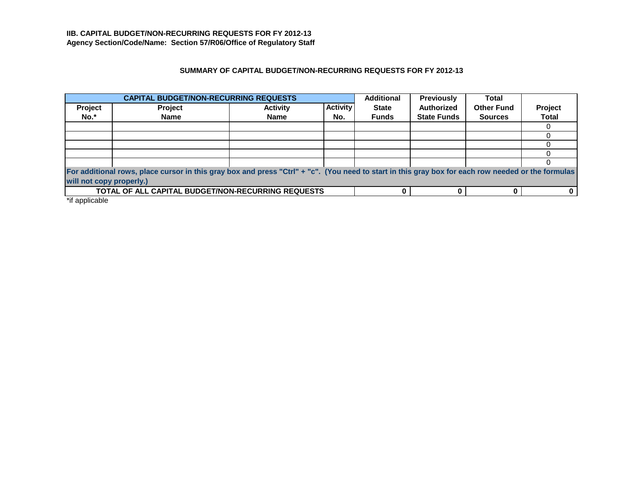# **SUMMARY OF CAPITAL BUDGET/NON-RECURRING REQUESTS FOR FY 2012-13**

|         | <b>CAPITAL BUDGET/NON-RECURRING REQUESTS</b>                                                                                                                                   |                 |                 | <b>Additional</b> | <b>Previously</b>  | Total             |                |  |  |
|---------|--------------------------------------------------------------------------------------------------------------------------------------------------------------------------------|-----------------|-----------------|-------------------|--------------------|-------------------|----------------|--|--|
| Project | <b>Project</b>                                                                                                                                                                 | <b>Activity</b> | <b>Activity</b> | <b>State</b>      | <b>Authorized</b>  | <b>Other Fund</b> | <b>Project</b> |  |  |
| No.*    | <b>Name</b>                                                                                                                                                                    | <b>Name</b>     | No.             | <b>Funds</b>      | <b>State Funds</b> | <b>Sources</b>    | <b>Total</b>   |  |  |
|         |                                                                                                                                                                                |                 |                 |                   |                    |                   |                |  |  |
|         |                                                                                                                                                                                |                 |                 |                   |                    |                   |                |  |  |
|         |                                                                                                                                                                                |                 |                 |                   |                    |                   |                |  |  |
|         |                                                                                                                                                                                |                 |                 |                   |                    |                   |                |  |  |
|         |                                                                                                                                                                                |                 |                 |                   |                    |                   |                |  |  |
|         | For additional rows, place cursor in this gray box and press "Ctrl" + "c". (You need to start in this gray box for each row needed or the formulas<br>will not copy properly.) |                 |                 |                   |                    |                   |                |  |  |
|         | TOTAL OF ALL CAPITAL BUDGET/NON-RECURRING REQUESTS                                                                                                                             |                 |                 |                   |                    |                   |                |  |  |

\*if applicable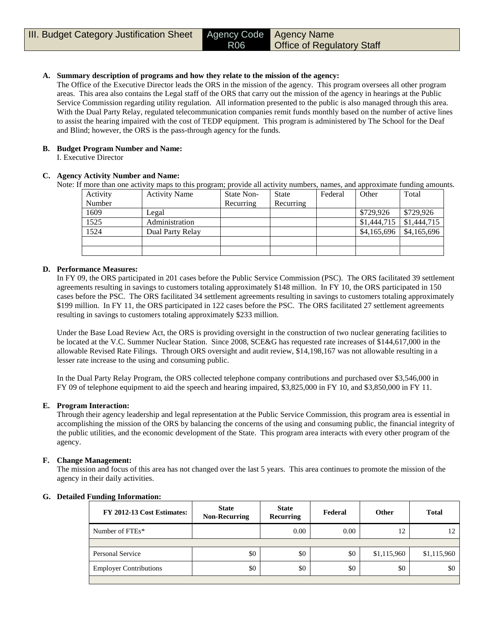#### **A. Summary description of programs and how they relate to the mission of the agency:**

The Office of the Executive Director leads the ORS in the mission of the agency. This program oversees all other program areas. This area also contains the Legal staff of the ORS that carry out the mission of the agency in hearings at the Public Service Commission regarding utility regulation. All information presented to the public is also managed through this area. With the Dual Party Relay, regulated telecommunication companies remit funds monthly based on the number of active lines to assist the hearing impaired with the cost of TEDP equipment. This program is administered by The School for the Deaf and Blind; however, the ORS is the pass-through agency for the funds.

#### **B. Budget Program Number and Name:**

I. Executive Director

#### **C. Agency Activity Number and Name:**

Note: If more than one activity maps to this program; provide all activity numbers, names, and approximate funding amounts.

| Activity | <b>Activity Name</b> | State Non- | State     | Federal | Other       | Total       |
|----------|----------------------|------------|-----------|---------|-------------|-------------|
| Number   |                      | Recurring  | Recurring |         |             |             |
| 1609     | Legal                |            |           |         | \$729,926   | \$729.926   |
| 1525     | Administration       |            |           |         | \$1,444,715 | \$1,444,715 |
| 1524     | Dual Party Relay     |            |           |         | \$4,165,696 | \$4,165,696 |
|          |                      |            |           |         |             |             |
|          |                      |            |           |         |             |             |

#### **D. Performance Measures:**

In FY 09, the ORS participated in 201 cases before the Public Service Commission (PSC). The ORS facilitated 39 settlement agreements resulting in savings to customers totaling approximately \$148 million. In FY 10, the ORS participated in 150 cases before the PSC. The ORS facilitated 34 settlement agreements resulting in savings to customers totaling approximately \$199 million. In FY 11, the ORS participated in 122 cases before the PSC. The ORS facilitated 27 settlement agreements resulting in savings to customers totaling approximately \$233 million.

Under the Base Load Review Act, the ORS is providing oversight in the construction of two nuclear generating facilities to be located at the V.C. Summer Nuclear Station. Since 2008, SCE&G has requested rate increases of \$144,617,000 in the allowable Revised Rate Filings. Through ORS oversight and audit review, \$14,198,167 was not allowable resulting in a lesser rate increase to the using and consuming public.

In the Dual Party Relay Program, the ORS collected telephone company contributions and purchased over \$3,546,000 in FY 09 of telephone equipment to aid the speech and hearing impaired, \$3,825,000 in FY 10, and \$3,850,000 in FY 11.

#### **E. Program Interaction:**

Through their agency leadership and legal representation at the Public Service Commission, this program area is essential in accomplishing the mission of the ORS by balancing the concerns of the using and consuming public, the financial integrity of the public utilities, and the economic development of the State. This program area interacts with every other program of the agency.

#### **F. Change Management:**

The mission and focus of this area has not changed over the last 5 years. This area continues to promote the mission of the agency in their daily activities.

| FY 2012-13 Cost Estimates:    | <b>State</b><br><b>Non-Recurring</b> | <b>State</b><br>Recurring | Federal | Other       | <b>Total</b> |
|-------------------------------|--------------------------------------|---------------------------|---------|-------------|--------------|
| Number of FTEs*               |                                      | 0.00                      | 0.00    | 12          |              |
|                               |                                      |                           |         |             |              |
| Personal Service              | \$0                                  | \$0                       | \$0     | \$1,115,960 | \$1,115,960  |
| <b>Employer Contributions</b> | \$0                                  | \$0                       | \$0     | \$0         | \$0          |
|                               |                                      |                           |         |             |              |

#### **G. Detailed Funding Information:**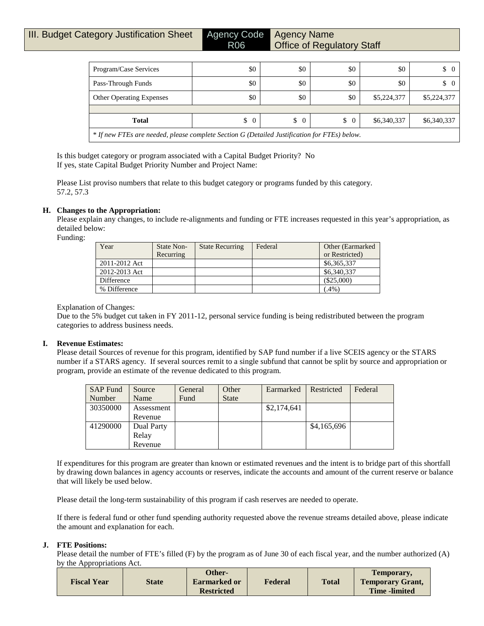| Program/Case Services                                                                        | \$0 | \$0 | \$0 | \$0         | $\begin{matrix} 0 \end{matrix}$ |  |  |  |  |
|----------------------------------------------------------------------------------------------|-----|-----|-----|-------------|---------------------------------|--|--|--|--|
| Pass-Through Funds                                                                           | \$0 | \$0 | \$0 | \$0         | $\begin{matrix} 0 \end{matrix}$ |  |  |  |  |
| <b>Other Operating Expenses</b>                                                              | \$0 | \$0 | \$0 | \$5,224,377 | \$5,224,377                     |  |  |  |  |
|                                                                                              |     |     |     |             |                                 |  |  |  |  |
| \$6,340,337<br>\$6,340,337<br>$\frac{1}{2}$<br>$\frac{1}{2}$<br>$\frac{1}{2}$<br>Total       |     |     |     |             |                                 |  |  |  |  |
| * If new FTEs are needed, please complete Section G (Detailed Justification for FTEs) below. |     |     |     |             |                                 |  |  |  |  |

Is this budget category or program associated with a Capital Budget Priority? No If yes, state Capital Budget Priority Number and Project Name:

Please List proviso numbers that relate to this budget category or programs funded by this category. 57.2, 57.3

#### **H. Changes to the Appropriation:**

Please explain any changes, to include re-alignments and funding or FTE increases requested in this year's appropriation, as detailed below:

Funding:

| Year          | State Non-<br>Recurring | <b>State Recurring</b> | Federal | Other (Earmarked)<br>or Restricted) |
|---------------|-------------------------|------------------------|---------|-------------------------------------|
| 2011-2012 Act |                         |                        |         | \$6,365,337                         |
| 2012-2013 Act |                         |                        |         | \$6,340,337                         |
| Difference    |                         |                        |         | (S25,000)                           |
| % Difference  |                         |                        |         | $(.4\%)$                            |

#### Explanation of Changes:

Due to the 5% budget cut taken in FY 2011-12, personal service funding is being redistributed between the program categories to address business needs.

#### **I. Revenue Estimates:**

Please detail Sources of revenue for this program, identified by SAP fund number if a live SCEIS agency or the STARS number if a STARS agency. If several sources remit to a single subfund that cannot be split by source and appropriation or program, provide an estimate of the revenue dedicated to this program.

| <b>SAP Fund</b> | Source     | General | Other        | Earmarked   | Restricted  | Federal |
|-----------------|------------|---------|--------------|-------------|-------------|---------|
| Number          | Name       | Fund    | <b>State</b> |             |             |         |
| 30350000        | Assessment |         |              | \$2,174,641 |             |         |
|                 | Revenue    |         |              |             |             |         |
| 41290000        | Dual Party |         |              |             | \$4,165,696 |         |
|                 | Relay      |         |              |             |             |         |
|                 | Revenue    |         |              |             |             |         |

If expenditures for this program are greater than known or estimated revenues and the intent is to bridge part of this shortfall by drawing down balances in agency accounts or reserves, indicate the accounts and amount of the current reserve or balance that will likely be used below.

Please detail the long-term sustainability of this program if cash reserves are needed to operate.

If there is federal fund or other fund spending authority requested above the revenue streams detailed above, please indicate the amount and explanation for each.

#### **J. FTE Positions:**

Please detail the number of FTE's filled (F) by the program as of June 30 of each fiscal year, and the number authorized (A) by the Appropriations Act.

| <b>Fiscal Year</b> | <b>State</b> | Other-<br>Earmarked or | Federal | <b>Total</b> | Temporary.<br><b>Temporary Grant,</b> |
|--------------------|--------------|------------------------|---------|--------------|---------------------------------------|
|                    |              | <b>Restricted</b>      |         |              | <b>Time</b> -limited                  |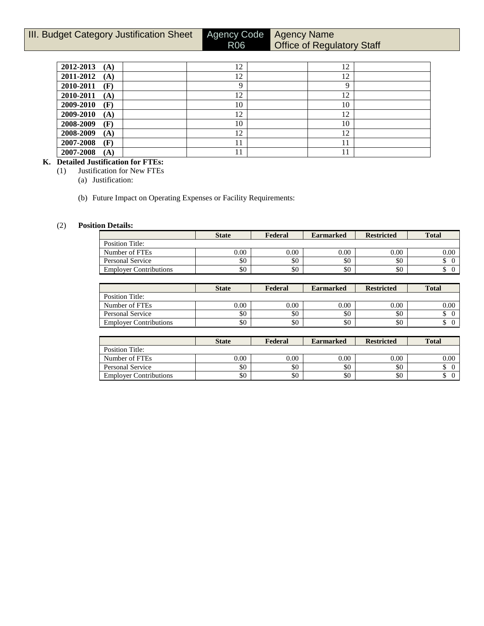# **III. Budget Category Justification Sheet Agency Code**

R06

# Agency Name **Office of Regulatory Staff**

| 2012-2013<br>(A) | 12 | 12 |  |
|------------------|----|----|--|
| 2011-2012<br>(A) | 12 | 12 |  |
| 2010-2011<br>(F) |    | Q  |  |
| 2010-2011<br>(A) | 12 | 12 |  |
| 2009-2010<br>(F) | 10 | 10 |  |
| 2009-2010<br>(A) | 12 | 12 |  |
| 2008-2009<br>(F) | 10 | 10 |  |
| 2008-2009<br>(A) | 12 | 12 |  |
| 2007-2008<br>(F) | 11 | 11 |  |
| 2007-2008<br>(A) |    | 11 |  |

#### **K. Detailed Justification for FTEs:**

(1) Justification for New FTEs

(a) Justification:

(b) Future Impact on Operating Expenses or Facility Requirements:

#### (2) **Position Details:**

|                               | <b>State</b> | Federal | <b>Earmarked</b> | <b>Restricted</b> | <b>Total</b> |
|-------------------------------|--------------|---------|------------------|-------------------|--------------|
| Position Title:               |              |         |                  |                   |              |
| Number of FTEs                | $0.00\,$     | 0.00    | $0.00\,$         | 0.00              | 0.00         |
| Personal Service              | \$0          | \$0     | \$0              | \$0               |              |
| <b>Employer Contributions</b> | \$0          | \$0     | \$0              | \$0               |              |

|                               | <b>State</b> | Federal | <b>Earmarked</b> | <b>Restricted</b> | <b>Total</b> |
|-------------------------------|--------------|---------|------------------|-------------------|--------------|
| Position Title:               |              |         |                  |                   |              |
| Number of FTEs                | $0.00\,$     | 0.00    | 0.00             | 0.00              | 0.00         |
| Personal Service              | \$0          | \$0     | \$0              | \$0               | J            |
| <b>Employer Contributions</b> | \$0          | \$0     | \$0              | \$0               | ◡            |

|                               | <b>State</b> | Federal | <b>Earmarked</b> | <b>Restricted</b> | <b>Total</b> |
|-------------------------------|--------------|---------|------------------|-------------------|--------------|
| Position Title:               |              |         |                  |                   |              |
| Number of FTEs                | 0.00         | 0.00    | 0.00             | 0.00              | 0.00         |
| Personal Service              | \$0          | \$0     | \$0              | \$0               | ◡            |
| <b>Employer Contributions</b> | \$0          | \$0     | \$0              | \$0               | Φ            |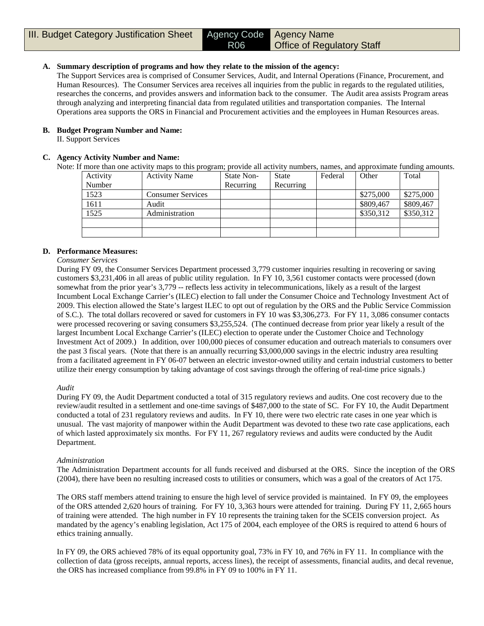#### **A. Summary description of programs and how they relate to the mission of the agency:**

The Support Services area is comprised of Consumer Services, Audit, and Internal Operations (Finance, Procurement, and Human Resources). The Consumer Services area receives all inquiries from the public in regards to the regulated utilities, researches the concerns, and provides answers and information back to the consumer. The Audit area assists Program areas through analyzing and interpreting financial data from regulated utilities and transportation companies. The Internal Operations area supports the ORS in Financial and Procurement activities and the employees in Human Resources areas.

#### **B. Budget Program Number and Name:**

II. Support Services

#### **C. Agency Activity Number and Name:**

Note: If more than one activity maps to this program; provide all activity numbers, names, and approximate funding amounts.

| Activity | <b>Activity Name</b>     | State Non- | <b>State</b> | Federal | Other     | Total     |
|----------|--------------------------|------------|--------------|---------|-----------|-----------|
| Number   |                          | Recurring  | Recurring    |         |           |           |
| 1523     | <b>Consumer Services</b> |            |              |         | \$275,000 | \$275,000 |
| 1611     | Audit                    |            |              |         | \$809,467 | \$809,467 |
| 1525     | Administration           |            |              |         | \$350,312 | \$350,312 |
|          |                          |            |              |         |           |           |
|          |                          |            |              |         |           |           |

#### **D. Performance Measures:**

*Consumer Services*

During FY 09, the Consumer Services Department processed 3,779 customer inquiries resulting in recovering or saving customers \$3,231,406 in all areas of public utility regulation. In FY 10, 3,561 customer contacts were processed (down somewhat from the prior year's 3,779 -- reflects less activity in telecommunications, likely as a result of the largest Incumbent Local Exchange Carrier's (ILEC) election to fall under the Consumer Choice and Technology Investment Act of 2009. This election allowed the State's largest ILEC to opt out of regulation by the ORS and the Public Service Commission of S.C.). The total dollars recovered or saved for customers in FY 10 was \$3,306,273. For FY 11, 3,086 consumer contacts were processed recovering or saving consumers \$3,255,524. (The continued decrease from prior year likely a result of the largest Incumbent Local Exchange Carrier's (ILEC) election to operate under the Customer Choice and Technology Investment Act of 2009.) In addition, over 100,000 pieces of consumer education and outreach materials to consumers over the past 3 fiscal years. (Note that there is an annually recurring \$3,000,000 savings in the electric industry area resulting from a facilitated agreement in FY 06-07 between an electric investor-owned utility and certain industrial customers to better utilize their energy consumption by taking advantage of cost savings through the offering of real-time price signals.)

#### *Audit*

During FY 09, the Audit Department conducted a total of 315 regulatory reviews and audits. One cost recovery due to the review/audit resulted in a settlement and one-time savings of \$487,000 to the state of SC. For FY 10, the Audit Department conducted a total of 231 regulatory reviews and audits. In FY 10, there were two electric rate cases in one year which is unusual. The vast majority of manpower within the Audit Department was devoted to these two rate case applications, each of which lasted approximately six months. For FY 11, 267 regulatory reviews and audits were conducted by the Audit Department.

#### *Administration*

The Administration Department accounts for all funds received and disbursed at the ORS. Since the inception of the ORS (2004), there have been no resulting increased costs to utilities or consumers, which was a goal of the creators of Act 175.

The ORS staff members attend training to ensure the high level of service provided is maintained. In FY 09, the employees of the ORS attended 2,620 hours of training. For FY 10, 3,363 hours were attended for training. During FY 11, 2,665 hours of training were attended. The high number in FY 10 represents the training taken for the SCEIS conversion project. As mandated by the agency's enabling legislation, Act 175 of 2004, each employee of the ORS is required to attend 6 hours of ethics training annually.

In FY 09, the ORS achieved 78% of its equal opportunity goal, 73% in FY 10, and 76% in FY 11. In compliance with the collection of data (gross receipts, annual reports, access lines), the receipt of assessments, financial audits, and decal revenue, the ORS has increased compliance from 99.8% in FY 09 to 100% in FY 11.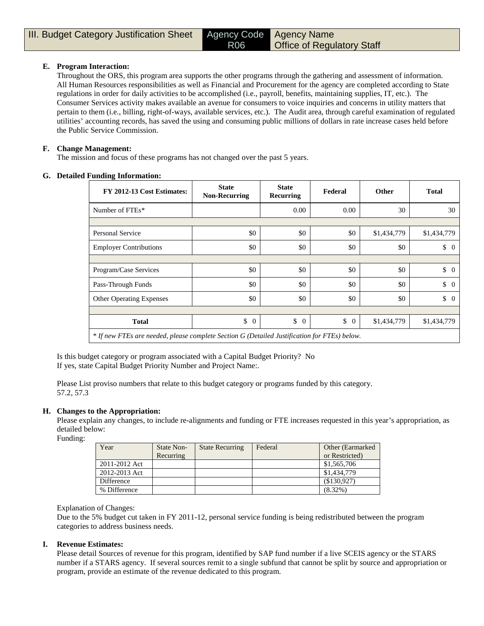#### **E. Program Interaction:**

Throughout the ORS, this program area supports the other programs through the gathering and assessment of information. All Human Resources responsibilities as well as Financial and Procurement for the agency are completed according to State regulations in order for daily activities to be accomplished (i.e., payroll, benefits, maintaining supplies, IT, etc.). The Consumer Services activity makes available an avenue for consumers to voice inquiries and concerns in utility matters that pertain to them (i.e., billing, right-of-ways, available services, etc.). The Audit area, through careful examination of regulated utilities' accounting records, has saved the using and consuming public millions of dollars in rate increase cases held before the Public Service Commission.

#### **F. Change Management:**

The mission and focus of these programs has not changed over the past 5 years.

#### **G. Detailed Funding Information:**

| FY 2012-13 Cost Estimates:                                                                   | <b>State</b><br><b>Non-Recurring</b> | <b>State</b><br>Recurring | Federal              | Other       | <b>Total</b>                    |
|----------------------------------------------------------------------------------------------|--------------------------------------|---------------------------|----------------------|-------------|---------------------------------|
| Number of FTEs*                                                                              |                                      | 0.00                      | 0.00                 | 30          | 30                              |
|                                                                                              |                                      |                           |                      |             |                                 |
| Personal Service                                                                             | \$0                                  | \$0                       | \$0                  | \$1,434,779 | \$1,434,779                     |
| <b>Employer Contributions</b>                                                                | \$0                                  | \$0                       | \$0                  | \$0         | $\updownarrow$ 0                |
|                                                                                              |                                      |                           |                      |             |                                 |
| Program/Case Services                                                                        | \$0                                  | \$0                       | \$0                  | \$0         | $\updownarrow$ 0                |
| Pass-Through Funds                                                                           | \$0                                  | \$0                       | \$0                  | \$0         | \$<br>$\Omega$                  |
| <b>Other Operating Expenses</b>                                                              | \$0                                  | \$0                       | \$0                  | \$0         | $\begin{matrix} 0 \end{matrix}$ |
|                                                                                              |                                      |                           |                      |             |                                 |
| <b>Total</b>                                                                                 | \$<br>$\overline{0}$                 | \$<br>$\overline{0}$      | \$<br>$\overline{0}$ | \$1,434,779 | \$1,434,779                     |
| * If new FTEs are needed, please complete Section G (Detailed Justification for FTEs) below. |                                      |                           |                      |             |                                 |

Is this budget category or program associated with a Capital Budget Priority? No If yes, state Capital Budget Priority Number and Project Name:.

Please List proviso numbers that relate to this budget category or programs funded by this category. 57.2, 57.3

#### **H. Changes to the Appropriation:**

Please explain any changes, to include re-alignments and funding or FTE increases requested in this year's appropriation, as detailed below:

Funding:

| Year          | State Non-<br>Recurring | <b>State Recurring</b> | Federal | Other (Earmarked)<br>or Restricted) |
|---------------|-------------------------|------------------------|---------|-------------------------------------|
| 2011-2012 Act |                         |                        |         | \$1,565,706                         |
| 2012-2013 Act |                         |                        |         | \$1,434,779                         |
| Difference    |                         |                        |         | (\$130,927)                         |
| % Difference  |                         |                        |         | $(8.32\%)$                          |

#### Explanation of Changes:

Due to the 5% budget cut taken in FY 2011-12, personal service funding is being redistributed between the program categories to address business needs.

#### **I. Revenue Estimates:**

Please detail Sources of revenue for this program, identified by SAP fund number if a live SCEIS agency or the STARS number if a STARS agency. If several sources remit to a single subfund that cannot be split by source and appropriation or program, provide an estimate of the revenue dedicated to this program.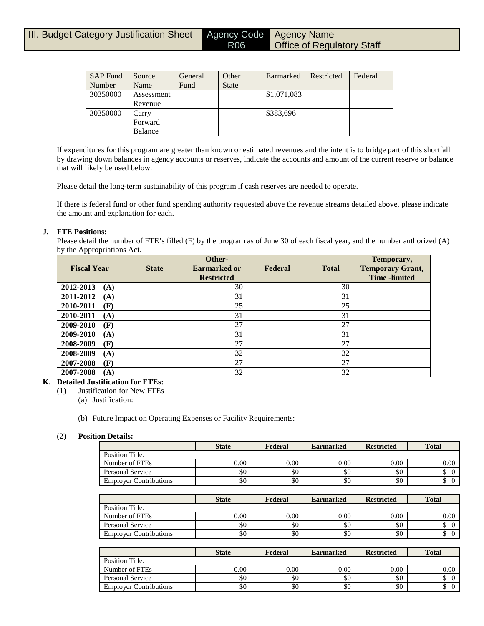| <b>SAP Fund</b> | Source     | General | Other        | Earmarked   | Restricted | Federal |
|-----------------|------------|---------|--------------|-------------|------------|---------|
| Number          | Name       | Fund    | <b>State</b> |             |            |         |
| 30350000        | Assessment |         |              | \$1,071,083 |            |         |
|                 | Revenue    |         |              |             |            |         |
| 30350000        | Carry      |         |              | \$383,696   |            |         |
|                 | Forward    |         |              |             |            |         |
|                 | Balance    |         |              |             |            |         |

If expenditures for this program are greater than known or estimated revenues and the intent is to bridge part of this shortfall by drawing down balances in agency accounts or reserves, indicate the accounts and amount of the current reserve or balance that will likely be used below.

Please detail the long-term sustainability of this program if cash reserves are needed to operate.

If there is federal fund or other fund spending authority requested above the revenue streams detailed above, please indicate the amount and explanation for each.

#### **J. FTE Positions:**

Please detail the number of FTE's filled (F) by the program as of June 30 of each fiscal year, and the number authorized (A) by the Appropriations Act.

| <b>Fiscal Year</b> | <b>State</b> | Other-<br>Earmarked or<br><b>Restricted</b> | Federal | <b>Total</b> | Temporary,<br><b>Temporary Grant,</b><br><b>Time</b> -limited |
|--------------------|--------------|---------------------------------------------|---------|--------------|---------------------------------------------------------------|
| 2012-2013<br>(A)   |              | 30                                          |         | 30           |                                                               |
| 2011-2012<br>(A)   |              | 31                                          |         | 31           |                                                               |
| 2010-2011<br>(F)   |              | 25                                          |         | 25           |                                                               |
| 2010-2011<br>(A)   |              | 31                                          |         | 31           |                                                               |
| 2009-2010<br>(F)   |              | 27                                          |         | 27           |                                                               |
| 2009-2010<br>(A)   |              | 31                                          |         | 31           |                                                               |
| 2008-2009<br>(F)   |              | 27                                          |         | 27           |                                                               |
| 2008-2009<br>(A)   |              | 32                                          |         | 32           |                                                               |
| 2007-2008<br>(F)   |              | 27                                          |         | 27           |                                                               |
| 2007-2008<br>(A)   |              | 32                                          |         | 32           |                                                               |

#### **K. Detailed Justification for FTEs:**

(1) Justification for New FTEs

(a) Justification:

(b) Future Impact on Operating Expenses or Facility Requirements:

#### (2) **Position Details:**

|                               | <b>State</b> | Federal | <b>Earmarked</b> | <b>Restricted</b> | <b>Total</b> |
|-------------------------------|--------------|---------|------------------|-------------------|--------------|
| Position Title:               |              |         |                  |                   |              |
| Number of FTEs                | $0.00\,$     | 0.00    | 0.00             | 0.00              | 0.00         |
| Personal Service              | \$0          | \$0     | \$0              | \$0               |              |
| <b>Employer Contributions</b> | \$0          | \$0     | \$0              | \$0               |              |

|                               | <b>State</b> | Federal | <b>Earmarked</b> | <b>Restricted</b> | <b>Total</b> |
|-------------------------------|--------------|---------|------------------|-------------------|--------------|
| Position Title:               |              |         |                  |                   |              |
| Number of FTEs                | $0.00\,$     | 0.00    | 0.00             | $0.00\,$          | 0.00         |
| Personal Service              | \$0          | \$0     | \$0              | \$0               | ◡            |
| <b>Employer Contributions</b> | \$0          | \$0     | \$0              | \$0               | ◡            |

|                               | <b>State</b> | Federal | <b>Earmarked</b> | <b>Restricted</b> | <b>Total</b> |
|-------------------------------|--------------|---------|------------------|-------------------|--------------|
| Position Title:               |              |         |                  |                   |              |
| Number of FTEs                | 0.00         | 0.00    | 0.00             | $0.00\,$          | 0.00         |
| Personal Service              | \$0          | \$0     | \$0              | \$0               | D            |
| <b>Employer Contributions</b> | \$0          | \$0     | \$0              | \$0               | Φ            |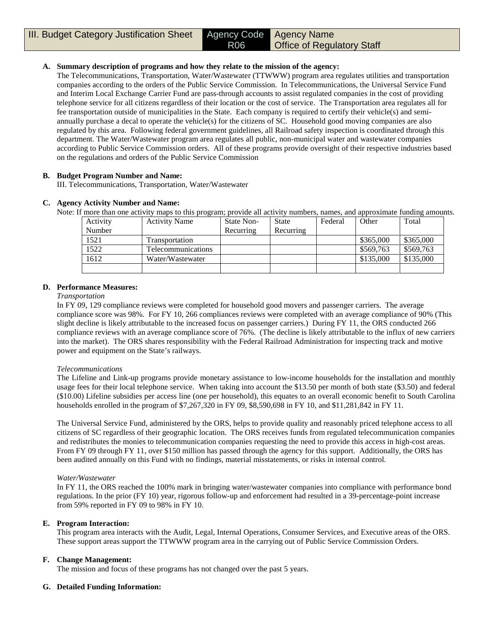#### **A. Summary description of programs and how they relate to the mission of the agency:**

The Telecommunications, Transportation, Water/Wastewater (TTWWW) program area regulates utilities and transportation companies according to the orders of the Public Service Commission. In Telecommunications, the Universal Service Fund and Interim Local Exchange Carrier Fund are pass-through accounts to assist regulated companies in the cost of providing telephone service for all citizens regardless of their location or the cost of service. The Transportation area regulates all for fee transportation outside of municipalities in the State. Each company is required to certify their vehicle(s) and semiannually purchase a decal to operate the vehicle(s) for the citizens of SC. Household good moving companies are also regulated by this area. Following federal government guidelines, all Railroad safety inspection is coordinated through this department. The Water/Wastewater program area regulates all public, non-municipal water and wastewater companies according to Public Service Commission orders. All of these programs provide oversight of their respective industries based on the regulations and orders of the Public Service Commission

#### **B. Budget Program Number and Name:**

III. Telecommunications, Transportation, Water/Wastewater

#### **C. Agency Activity Number and Name:**

Note: If more than one activity maps to this program; provide all activity numbers, names, and approximate funding amounts.

| Activity | <b>Activity Name</b> | State Non- | <b>State</b> | Federal | Other     | Total     |
|----------|----------------------|------------|--------------|---------|-----------|-----------|
| Number   |                      | Recurring  | Recurring    |         |           |           |
| 1521     | Transportation       |            |              |         | \$365,000 | \$365,000 |
| 1522     | Telecommunications   |            |              |         | \$569.763 | \$569,763 |
| 1612     | Water/Wastewater     |            |              |         | \$135,000 | \$135,000 |
|          |                      |            |              |         |           |           |

#### **D. Performance Measures:**

#### *Transportation*

In FY 09, 129 compliance reviews were completed for household good movers and passenger carriers. The average compliance score was 98%. For FY 10, 266 compliances reviews were completed with an average compliance of 90% (This slight decline is likely attributable to the increased focus on passenger carriers.) During FY 11, the ORS conducted 266 compliance reviews with an average compliance score of 76%. (The decline is likely attributable to the influx of new carriers into the market). The ORS shares responsibility with the Federal Railroad Administration for inspecting track and motive power and equipment on the State's railways.

#### *Telecommunications*

The Lifeline and Link-up programs provide monetary assistance to low-income households for the installation and monthly usage fees for their local telephone service. When taking into account the \$13.50 per month of both state (\$3.50) and federal (\$10.00) Lifeline subsidies per access line (one per household), this equates to an overall economic benefit to South Carolina households enrolled in the program of \$7,267,320 in FY 09, \$8,590,698 in FY 10, and \$11,281,842 in FY 11.

The Universal Service Fund, administered by the ORS, helps to provide quality and reasonably priced telephone access to all citizens of SC regardless of their geographic location. The ORS receives funds from regulated telecommunication companies and redistributes the monies to telecommunication companies requesting the need to provide this access in high-cost areas. From FY 09 through FY 11, over \$150 million has passed through the agency for this support. Additionally, the ORS has been audited annually on this Fund with no findings, material misstatements, or risks in internal control.

#### *Water/Wastewater*

In FY 11, the ORS reached the 100% mark in bringing water/wastewater companies into compliance with performance bond regulations. In the prior (FY 10) year, rigorous follow-up and enforcement had resulted in a 39-percentage-point increase from 59% reported in FY 09 to 98% in FY 10.

#### **E. Program Interaction:**

This program area interacts with the Audit, Legal, Internal Operations, Consumer Services, and Executive areas of the ORS. These support areas support the TTWWW program area in the carrying out of Public Service Commission Orders.

#### **F. Change Management:**

The mission and focus of these programs has not changed over the past 5 years.

#### **G. Detailed Funding Information:**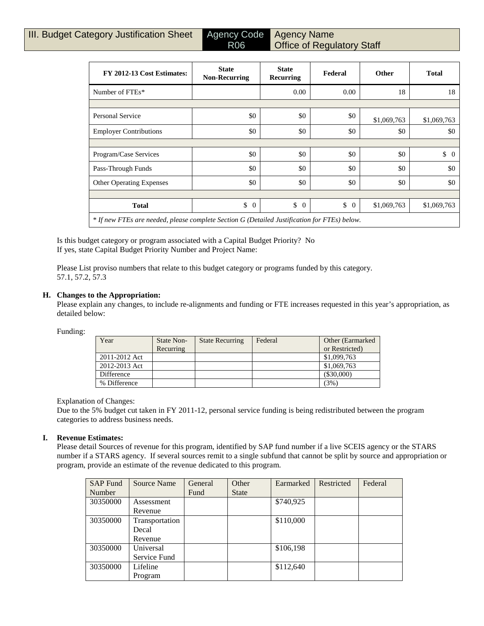| FY 2012-13 Cost Estimates:                                                                   | <b>State</b><br><b>Non-Recurring</b> | <b>State</b><br>Recurring | Federal              | Other       | <b>Total</b>   |
|----------------------------------------------------------------------------------------------|--------------------------------------|---------------------------|----------------------|-------------|----------------|
| Number of FTEs*                                                                              |                                      | 0.00                      | 0.00                 | 18          | 18             |
|                                                                                              |                                      |                           |                      |             |                |
| <b>Personal Service</b>                                                                      | \$0                                  | \$0                       | \$0                  | \$1,069,763 | \$1,069,763    |
| <b>Employer Contributions</b>                                                                | \$0                                  | \$0                       | \$0                  | \$0         | \$0            |
|                                                                                              |                                      |                           |                      |             |                |
| Program/Case Services                                                                        | \$0                                  | \$0                       | \$0                  | \$0         | \$<br>$\Omega$ |
| Pass-Through Funds                                                                           | \$0                                  | \$0                       | \$0                  | \$0         | \$0            |
| <b>Other Operating Expenses</b>                                                              | \$0                                  | \$0                       | \$0                  | \$0         | \$0            |
|                                                                                              |                                      |                           |                      |             |                |
| <b>Total</b>                                                                                 | \$<br>$\overline{0}$                 | \$<br>$\overline{0}$      | \$<br>$\overline{0}$ | \$1,069,763 | \$1,069,763    |
| * If new FTEs are needed, please complete Section G (Detailed Justification for FTEs) below. |                                      |                           |                      |             |                |

Is this budget category or program associated with a Capital Budget Priority? No If yes, state Capital Budget Priority Number and Project Name:

Please List proviso numbers that relate to this budget category or programs funded by this category. 57.1, 57.2, 57.3

#### **H. Changes to the Appropriation:**

Please explain any changes, to include re-alignments and funding or FTE increases requested in this year's appropriation, as detailed below:

Funding:

| Year          | State Non- | <b>State Recurring</b> | Federal | Other (Earmarked) |
|---------------|------------|------------------------|---------|-------------------|
|               | Recurring  |                        |         | or Restricted)    |
| 2011-2012 Act |            |                        |         | \$1,099,763       |
| 2012-2013 Act |            |                        |         | \$1,069,763       |
| Difference    |            |                        |         | (\$30,000)        |
| % Difference  |            |                        |         | (3%)              |

#### Explanation of Changes:

Due to the 5% budget cut taken in FY 2011-12, personal service funding is being redistributed between the program categories to address business needs.

#### **I. Revenue Estimates:**

Please detail Sources of revenue for this program, identified by SAP fund number if a live SCEIS agency or the STARS number if a STARS agency. If several sources remit to a single subfund that cannot be split by source and appropriation or program, provide an estimate of the revenue dedicated to this program.

| <b>SAP</b> Fund | <b>Source Name</b> | General | Other        | Earmarked | Restricted | Federal |
|-----------------|--------------------|---------|--------------|-----------|------------|---------|
| Number          |                    | Fund    | <b>State</b> |           |            |         |
| 30350000        | Assessment         |         |              | \$740,925 |            |         |
|                 | Revenue            |         |              |           |            |         |
| 30350000        | Transportation     |         |              | \$110,000 |            |         |
|                 | Decal              |         |              |           |            |         |
|                 | Revenue            |         |              |           |            |         |
| 30350000        | Universal          |         |              | \$106,198 |            |         |
|                 | Service Fund       |         |              |           |            |         |
| 30350000        | Lifeline           |         |              | \$112,640 |            |         |
|                 | Program            |         |              |           |            |         |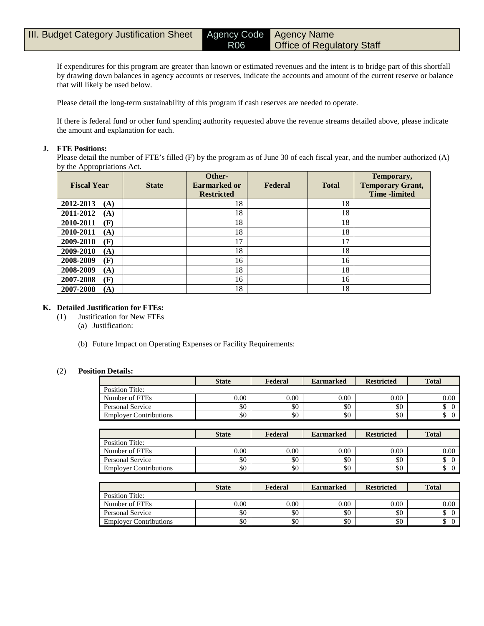If expenditures for this program are greater than known or estimated revenues and the intent is to bridge part of this shortfall by drawing down balances in agency accounts or reserves, indicate the accounts and amount of the current reserve or balance that will likely be used below.

Please detail the long-term sustainability of this program if cash reserves are needed to operate.

If there is federal fund or other fund spending authority requested above the revenue streams detailed above, please indicate the amount and explanation for each.

#### **J. FTE Positions:**

Please detail the number of FTE's filled (F) by the program as of June 30 of each fiscal year, and the number authorized (A) by the Appropriations Act.

| <b>Fiscal Year</b> | <b>State</b> | Other-<br>Earmarked or<br><b>Restricted</b> | Federal | <b>Total</b> | Temporary,<br><b>Temporary Grant,</b><br><b>Time</b> -limited |
|--------------------|--------------|---------------------------------------------|---------|--------------|---------------------------------------------------------------|
| 2012-2013<br>(A)   |              | 18                                          |         | 18           |                                                               |
| 2011-2012<br>(A)   |              | 18                                          |         | 18           |                                                               |
| 2010-2011<br>(F)   |              | 18                                          |         | 18           |                                                               |
| 2010-2011<br>(A)   |              | 18                                          |         | 18           |                                                               |
| 2009-2010<br>(F)   |              | 17                                          |         | 17           |                                                               |
| 2009-2010<br>(A)   |              | 18                                          |         | 18           |                                                               |
| 2008-2009<br>(F)   |              | 16                                          |         | 16           |                                                               |
| 2008-2009<br>(A)   |              | 18                                          |         | 18           |                                                               |
| 2007-2008<br>(F)   |              | 16                                          |         | 16           |                                                               |
| 2007-2008<br>(A)   |              | 18                                          |         | 18           |                                                               |

#### **K. Detailed Justification for FTEs:**

- (1) Justification for New FTEs
	- (a) Justification:
	- (b) Future Impact on Operating Expenses or Facility Requirements:

#### (2) **Position Details:**

|                               | <b>State</b> | Federal | <b>Earmarked</b> | <b>Restricted</b> | <b>Total</b> |
|-------------------------------|--------------|---------|------------------|-------------------|--------------|
| Position Title:               |              |         |                  |                   |              |
| Number of FTEs                | $0.00\,$     | 0.00    | 0.00             | 0.00              | 0.00         |
| Personal Service              | \$0          | \$0     | \$0              | \$0               |              |
| <b>Employer Contributions</b> | \$0          | \$0     | \$0              | \$0               |              |

|                               | <b>State</b> | Federal  | <b>Earmarked</b> | <b>Restricted</b> | <b>Total</b> |
|-------------------------------|--------------|----------|------------------|-------------------|--------------|
| Position Title:               |              |          |                  |                   |              |
| Number of FTEs                | 0.00         | $0.00\,$ | 0.00             | 0.00              | $0.00\,$     |
| <b>Personal Service</b>       | \$0          | \$0      | \$0              | \$0               |              |
| <b>Employer Contributions</b> | \$0          | \$0      | \$0              | \$0               |              |

|                               | <b>State</b> | Federal | <b>Earmarked</b> | <b>Restricted</b> | <b>Total</b> |
|-------------------------------|--------------|---------|------------------|-------------------|--------------|
| Position Title:               |              |         |                  |                   |              |
| Number of FTEs                | $0.00\,$     | 0.00    | 0.00             | 0.00              | 0.00         |
| Personal Service              | \$0          | \$0     | \$0              | \$0               | Φ            |
| <b>Employer Contributions</b> | \$0          | \$0     | \$0              | \$0               | ◡            |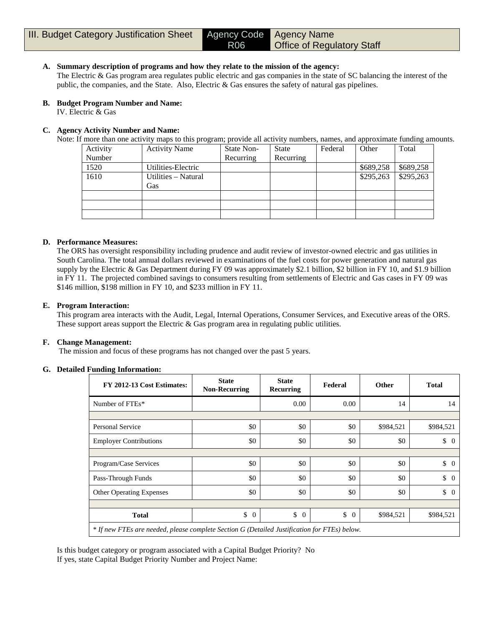#### **A. Summary description of programs and how they relate to the mission of the agency:**

The Electric & Gas program area regulates public electric and gas companies in the state of SC balancing the interest of the public, the companies, and the State. Also, Electric & Gas ensures the safety of natural gas pipelines.

#### **B. Budget Program Number and Name:**

IV. Electric & Gas

#### **C. Agency Activity Number and Name:**

Note: If more than one activity maps to this program; provide all activity numbers, names, and approximate funding amounts.

| Activity | <b>Activity Name</b> | State Non- | <b>State</b> | Federal | Other     | Total     |
|----------|----------------------|------------|--------------|---------|-----------|-----------|
| Number   |                      | Recurring  | Recurring    |         |           |           |
| 1520     | Utilities-Electric   |            |              |         | \$689,258 | \$689,258 |
| 1610     | Utilities – Natural  |            |              |         | \$295,263 | \$295,263 |
|          | Gas                  |            |              |         |           |           |
|          |                      |            |              |         |           |           |
|          |                      |            |              |         |           |           |
|          |                      |            |              |         |           |           |

#### **D. Performance Measures:**

The ORS has oversight responsibility including prudence and audit review of investor-owned electric and gas utilities in South Carolina. The total annual dollars reviewed in examinations of the fuel costs for power generation and natural gas supply by the Electric & Gas Department during FY 09 was approximately \$2.1 billion, \$2 billion in FY 10, and \$1.9 billion in FY 11. The projected combined savings to consumers resulting from settlements of Electric and Gas cases in FY 09 was \$146 million, \$198 million in FY 10, and \$233 million in FY 11.

#### **E. Program Interaction:**

This program area interacts with the Audit, Legal, Internal Operations, Consumer Services, and Executive areas of the ORS. These support areas support the Electric & Gas program area in regulating public utilities.

#### **F. Change Management:**

The mission and focus of these programs has not changed over the past 5 years.

#### **G. Detailed Funding Information:**

| FY 2012-13 Cost Estimates:                                                                   | <b>State</b><br><b>Non-Recurring</b> | <b>State</b><br><b>Recurring</b> | Federal              | Other     | <b>Total</b>         |
|----------------------------------------------------------------------------------------------|--------------------------------------|----------------------------------|----------------------|-----------|----------------------|
| Number of FTEs*                                                                              |                                      | 0.00                             | 0.00                 | 14        | 14                   |
|                                                                                              |                                      |                                  |                      |           |                      |
| Personal Service                                                                             | \$0                                  | \$0                              | \$0                  | \$984,521 | \$984,521            |
| <b>Employer Contributions</b>                                                                | \$0                                  | \$0                              | \$0                  | \$0       | \$<br>$\Omega$       |
|                                                                                              |                                      |                                  |                      |           |                      |
| Program/Case Services                                                                        | \$0                                  | \$0                              | \$0                  | \$0       | $\updownarrow$ 0     |
| Pass-Through Funds                                                                           | \$0                                  | \$0                              | \$0                  | \$0       | \$<br>$\Omega$       |
| <b>Other Operating Expenses</b>                                                              | \$0                                  | \$0                              | \$0                  | \$0       | \$<br>$\overline{0}$ |
|                                                                                              |                                      |                                  |                      |           |                      |
| <b>Total</b>                                                                                 | \$<br>$\overline{0}$                 | \$<br>$\overline{0}$             | \$<br>$\overline{0}$ | \$984,521 | \$984,521            |
| * If new FTEs are needed, please complete Section G (Detailed Justification for FTEs) below. |                                      |                                  |                      |           |                      |

Is this budget category or program associated with a Capital Budget Priority? No If yes, state Capital Budget Priority Number and Project Name: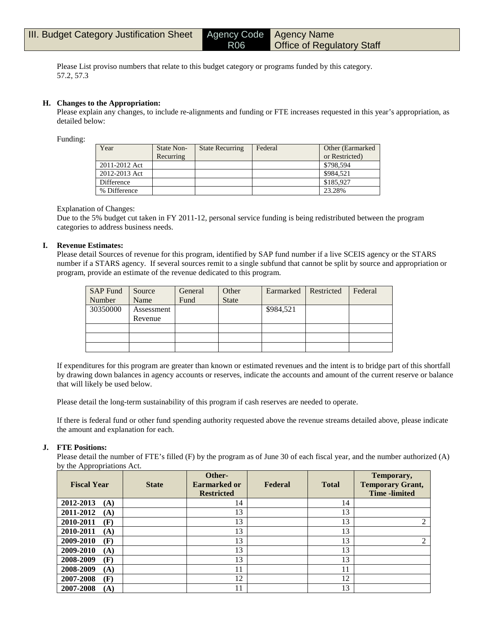Please List proviso numbers that relate to this budget category or programs funded by this category. 57.2, 57.3

R06

#### **H. Changes to the Appropriation:**

Please explain any changes, to include re-alignments and funding or FTE increases requested in this year's appropriation, as detailed below:

Funding:

| Year          | State Non-<br>Recurring | <b>State Recurring</b> | Federal | Other (Earmarked)<br>or Restricted) |
|---------------|-------------------------|------------------------|---------|-------------------------------------|
| 2011-2012 Act |                         |                        |         | \$798,594                           |
| 2012-2013 Act |                         |                        |         | \$984.521                           |
| Difference    |                         |                        |         | \$185,927                           |
| % Difference  |                         |                        |         | 23.28%                              |

#### Explanation of Changes:

Due to the 5% budget cut taken in FY 2011-12, personal service funding is being redistributed between the program categories to address business needs.

#### **I. Revenue Estimates:**

Please detail Sources of revenue for this program, identified by SAP fund number if a live SCEIS agency or the STARS number if a STARS agency. If several sources remit to a single subfund that cannot be split by source and appropriation or program, provide an estimate of the revenue dedicated to this program.

| <b>SAP Fund</b> | Source     | General | Other        | Earmarked | Restricted | Federal |
|-----------------|------------|---------|--------------|-----------|------------|---------|
| Number          | Name       | Fund    | <b>State</b> |           |            |         |
| 30350000        | Assessment |         |              | \$984,521 |            |         |
|                 | Revenue    |         |              |           |            |         |
|                 |            |         |              |           |            |         |
|                 |            |         |              |           |            |         |
|                 |            |         |              |           |            |         |

If expenditures for this program are greater than known or estimated revenues and the intent is to bridge part of this shortfall by drawing down balances in agency accounts or reserves, indicate the accounts and amount of the current reserve or balance that will likely be used below.

Please detail the long-term sustainability of this program if cash reserves are needed to operate.

If there is federal fund or other fund spending authority requested above the revenue streams detailed above, please indicate the amount and explanation for each.

#### **J. FTE Positions:**

Please detail the number of FTE's filled (F) by the program as of June 30 of each fiscal year, and the number authorized (A) by the Appropriations Act.

| <b>Fiscal Year</b> | <b>State</b> | Other-<br><b>Earmarked or</b><br><b>Restricted</b> | Federal | <b>Total</b> | Temporary,<br><b>Temporary Grant,</b><br><b>Time</b> -limited |
|--------------------|--------------|----------------------------------------------------|---------|--------------|---------------------------------------------------------------|
| 2012-2013<br>(A)   |              | 14                                                 |         | 14           |                                                               |
| 2011-2012<br>(A)   |              | 13                                                 |         | 13           |                                                               |
| 2010-2011<br>(F)   |              | 13                                                 |         | 13           | 2                                                             |
| 2010-2011<br>(A)   |              | 13                                                 |         | 13           |                                                               |
| 2009-2010<br>(F)   |              | 13                                                 |         | 13           | 2                                                             |
| 2009-2010<br>(A)   |              | 13                                                 |         | 13           |                                                               |
| 2008-2009<br>(F)   |              | 13                                                 |         | 13           |                                                               |
| 2008-2009<br>(A)   |              | 11                                                 |         | 11           |                                                               |
| 2007-2008<br>(F)   |              | 12                                                 |         | 12           |                                                               |
| 2007-2008<br>(A)   |              | 11                                                 |         | 13           |                                                               |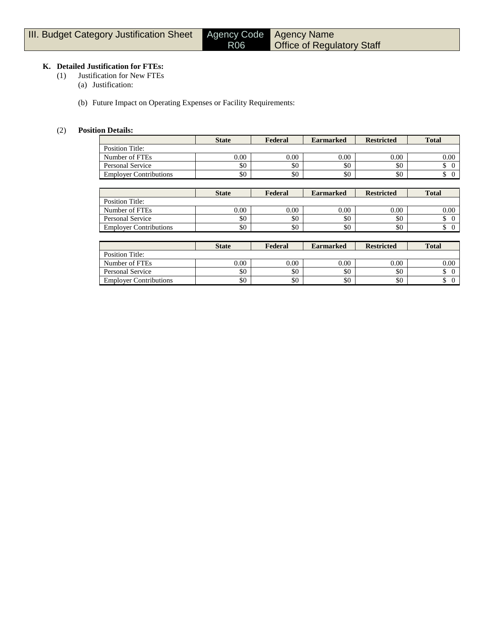# **K. Detailed Justification for FTEs:**

- (1) Justification for New FTEs
	- (a) Justification:
	- (b) Future Impact on Operating Expenses or Facility Requirements:

#### (2) **Position Details:**

|                               | <b>State</b> | Federal  | <b>Earmarked</b> | <b>Restricted</b> | <b>Total</b> |
|-------------------------------|--------------|----------|------------------|-------------------|--------------|
| Position Title:               |              |          |                  |                   |              |
| Number of FTEs                | 0.00         | $0.00\,$ | 0.00             | 0.00              | 0.00         |
| <b>Personal Service</b>       | \$0          | \$0      | \$0              | \$0               |              |
| <b>Employer Contributions</b> | \$0          | \$0      | \$0              | \$0               |              |

|                               | <b>State</b> | Federal | <b>Earmarked</b> | <b>Restricted</b> | <b>Total</b> |
|-------------------------------|--------------|---------|------------------|-------------------|--------------|
| Position Title:               |              |         |                  |                   |              |
| Number of FTEs                | $0.00\,$     | 0.00    | 0.00             | 0.00              | 0.00         |
| Personal Service              | \$0          | \$0     | \$0              | \$0               |              |
| <b>Employer Contributions</b> | \$0          | \$0     | \$0              | \$0               |              |

|                               | <b>State</b> | Federal  | <b>Earmarked</b> | <b>Restricted</b> | <b>Total</b> |
|-------------------------------|--------------|----------|------------------|-------------------|--------------|
| Position Title:               |              |          |                  |                   |              |
| Number of FTEs                | 0.00         | $0.00\,$ | 0.00             | 0.00              | $0.00\,$     |
| Personal Service              | \$0          | \$0      | \$0              | \$0               |              |
| <b>Employer Contributions</b> | \$0          | \$0      | \$0              | \$0               |              |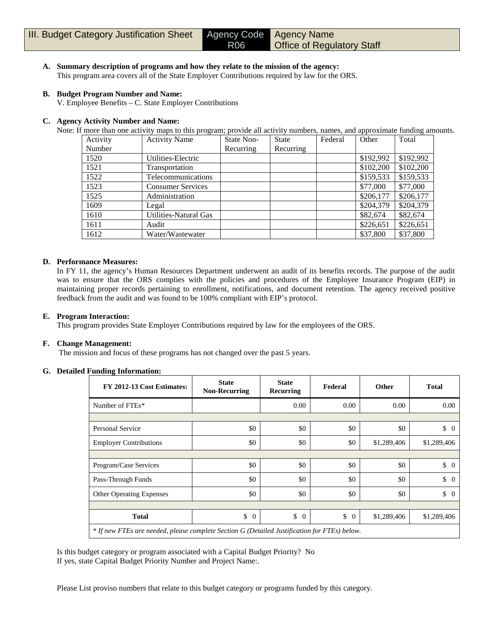**A. Summary description of programs and how they relate to the mission of the agency:** This program area covers all of the State Employer Contributions required by law for the ORS.

#### **B. Budget Program Number and Name:**

V. Employee Benefits – C. State Employer Contributions

#### **C. Agency Activity Number and Name:**

Note: If more than one activity maps to this program; provide all activity numbers, names, and approximate funding amounts.

| Activity | <b>Activity Name</b>     | State Non- | <b>State</b> | Federal | Other     | Total     |
|----------|--------------------------|------------|--------------|---------|-----------|-----------|
| Number   |                          | Recurring  | Recurring    |         |           |           |
| 1520     | Utilities-Electric       |            |              |         | \$192,992 | \$192,992 |
| 1521     | Transportation           |            |              |         | \$102,200 | \$102,200 |
| 1522     | Telecommunications       |            |              |         | \$159,533 | \$159,533 |
| 1523     | <b>Consumer Services</b> |            |              |         | \$77,000  | \$77,000  |
| 1525     | Administration           |            |              |         | \$206,177 | \$206,177 |
| 1609     | Legal                    |            |              |         | \$204,379 | \$204,379 |
| 1610     | Utilities-Natural Gas    |            |              |         | \$82,674  | \$82,674  |
| 1611     | Audit                    |            |              |         | \$226,651 | \$226,651 |
| 1612     | Water/Wastewater         |            |              |         | \$37,800  | \$37,800  |

#### **D. Performance Measures:**

In FY 11, the agency's Human Resources Department underwent an audit of its benefits records. The purpose of the audit was to ensure that the ORS complies with the policies and procedures of the Employee Insurance Program (EIP) in maintaining proper records pertaining to enrollment, notifications, and document retention. The agency received positive feedback from the audit and was found to be 100% compliant with EIP's protocol.

#### **E. Program Interaction:**

This program provides State Employer Contributions required by law for the employees of the ORS.

#### **F. Change Management:**

The mission and focus of these programs has not changed over the past 5 years.

#### **G. Detailed Funding Information:**

| FY 2012-13 Cost Estimates:                                                                   | <b>State</b><br><b>Non-Recurring</b> | <b>State</b><br>Recurring | Federal              | <b>Other</b> | <b>Total</b>                    |
|----------------------------------------------------------------------------------------------|--------------------------------------|---------------------------|----------------------|--------------|---------------------------------|
| Number of FTEs*                                                                              |                                      | 0.00                      | 0.00                 | 0.00         | 0.00                            |
|                                                                                              |                                      |                           |                      |              |                                 |
| Personal Service                                                                             | \$0                                  | \$0                       | \$0                  | \$0          | $\begin{matrix} 0 \end{matrix}$ |
| <b>Employer Contributions</b>                                                                | \$0                                  | \$0                       | \$0                  | \$1,289,406  | \$1,289,406                     |
|                                                                                              |                                      |                           |                      |              |                                 |
| Program/Case Services                                                                        | \$0                                  | \$0                       | \$0                  | \$0          | \$<br>$\overline{0}$            |
| Pass-Through Funds                                                                           | \$0                                  | \$0                       | \$0                  | \$0          | $\begin{matrix} 0 \end{matrix}$ |
| <b>Other Operating Expenses</b>                                                              | \$0                                  | \$0                       | \$0                  | \$0          | \$<br>$\Omega$                  |
|                                                                                              |                                      |                           |                      |              |                                 |
| <b>Total</b>                                                                                 | \$<br>$\theta$                       | \$<br>$\overline{0}$      | \$<br>$\overline{0}$ | \$1,289,406  | \$1,289,406                     |
| * If new FTEs are needed, please complete Section G (Detailed Justification for FTEs) below. |                                      |                           |                      |              |                                 |

Is this budget category or program associated with a Capital Budget Priority? No If yes, state Capital Budget Priority Number and Project Name:.

Please List proviso numbers that relate to this budget category or programs funded by this category.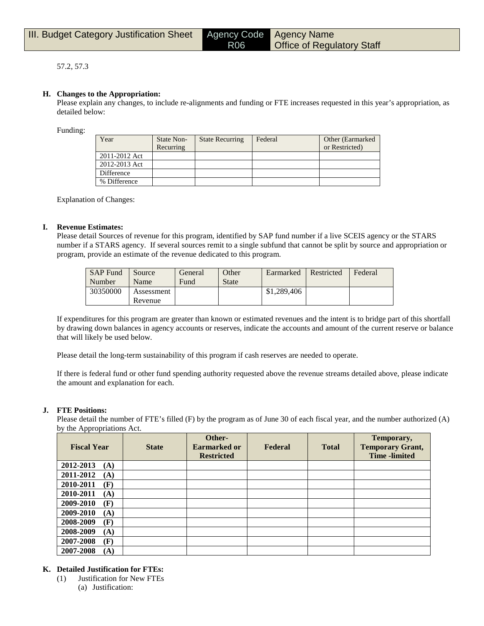#### 57.2, 57.3

#### **H. Changes to the Appropriation:**

Please explain any changes, to include re-alignments and funding or FTE increases requested in this year's appropriation, as detailed below:

Funding:

| Year          | State Non- | <b>State Recurring</b> | Federal | Other (Earmarked) |
|---------------|------------|------------------------|---------|-------------------|
|               | Recurring  |                        |         | or Restricted)    |
| 2011-2012 Act |            |                        |         |                   |
| 2012-2013 Act |            |                        |         |                   |
| Difference    |            |                        |         |                   |
| % Difference  |            |                        |         |                   |

R06

Explanation of Changes:

#### **I. Revenue Estimates:**

Please detail Sources of revenue for this program, identified by SAP fund number if a live SCEIS agency or the STARS number if a STARS agency. If several sources remit to a single subfund that cannot be split by source and appropriation or program, provide an estimate of the revenue dedicated to this program.

| <b>SAP Fund</b> | Source     | General | Other        | Earmarked   | Restricted | Federal |
|-----------------|------------|---------|--------------|-------------|------------|---------|
| Number          | Name       | Fund    | <b>State</b> |             |            |         |
| 30350000        | Assessment |         |              | \$1,289,406 |            |         |
|                 | Revenue    |         |              |             |            |         |

If expenditures for this program are greater than known or estimated revenues and the intent is to bridge part of this shortfall by drawing down balances in agency accounts or reserves, indicate the accounts and amount of the current reserve or balance that will likely be used below.

Please detail the long-term sustainability of this program if cash reserves are needed to operate.

If there is federal fund or other fund spending authority requested above the revenue streams detailed above, please indicate the amount and explanation for each.

#### **J. FTE Positions:**

Please detail the number of FTE's filled (F) by the program as of June 30 of each fiscal year, and the number authorized (A) by the Appropriations Act.

| <b>Fiscal Year</b> | <b>State</b> | Other-<br><b>Earmarked or</b><br><b>Restricted</b> | Federal | <b>Total</b> | Temporary,<br><b>Temporary Grant,</b><br><b>Time</b> -limited |
|--------------------|--------------|----------------------------------------------------|---------|--------------|---------------------------------------------------------------|
| 2012-2013<br>(A)   |              |                                                    |         |              |                                                               |
| 2011-2012<br>(A)   |              |                                                    |         |              |                                                               |
| 2010-2011<br>(F)   |              |                                                    |         |              |                                                               |
| 2010-2011<br>(A)   |              |                                                    |         |              |                                                               |
| 2009-2010<br>(F)   |              |                                                    |         |              |                                                               |
| 2009-2010<br>(A)   |              |                                                    |         |              |                                                               |
| 2008-2009<br>(F)   |              |                                                    |         |              |                                                               |
| 2008-2009<br>(A)   |              |                                                    |         |              |                                                               |
| 2007-2008<br>(F)   |              |                                                    |         |              |                                                               |
| 2007-2008<br>(A)   |              |                                                    |         |              |                                                               |

#### **K. Detailed Justification for FTEs:**

(1) Justification for New FTEs (a) Justification: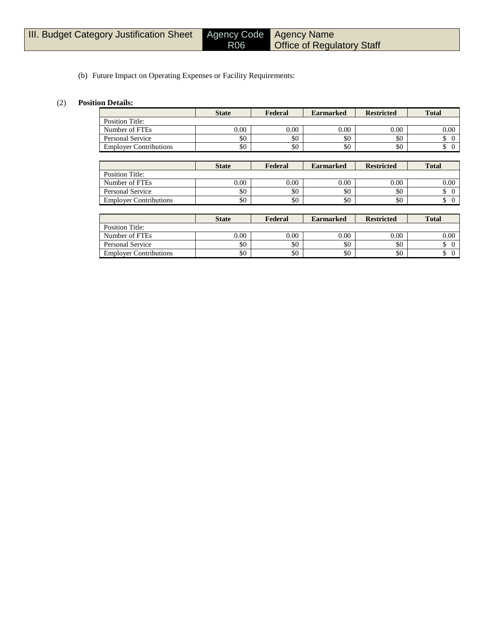Employer Contributions

# Agency Name Office of Regulatory Staff

#### (b) Future Impact on Operating Expenses or Facility Requirements:

R06

#### (2) **Position Details:**

|                               | <b>State</b> | Federal | <b>Earmarked</b> | <b>Restricted</b> | <b>Total</b>         |
|-------------------------------|--------------|---------|------------------|-------------------|----------------------|
| <b>Position Title:</b>        |              |         |                  |                   |                      |
| Number of FTEs                | 0.00         | 0.00    | 0.00             | 0.00              | 0.00                 |
| <b>Personal Service</b>       | \$0          | \$0     | \$0              | \$0               | \$<br>$\overline{0}$ |
| <b>Employer Contributions</b> | \$0          | \$0     | \$0              | \$0               | \$<br>$\theta$       |
|                               |              |         |                  |                   |                      |
|                               | <b>State</b> | Federal | <b>Earmarked</b> | <b>Restricted</b> | <b>Total</b>         |
| <b>Position Title:</b>        |              |         |                  |                   |                      |
| Number of FTEs                | 0.00         | 0.00    | 0.00             | 0.00              | 0.00                 |
| <b>Personal Service</b>       | \$0          | \$0     | \$0              | \$0               | \$<br>$\theta$       |
| <b>Employer Contributions</b> | \$0          | \$0     | \$0              | \$0               | \$<br>$\overline{0}$ |
|                               |              |         |                  |                   |                      |
|                               | <b>State</b> | Federal | <b>Earmarked</b> | <b>Restricted</b> | <b>Total</b>         |
| <b>Position Title:</b>        |              |         |                  |                   |                      |
| Number of FTEs                | 0.00         | 0.00    | 0.00             | 0.00              | 0.00                 |
| <b>Personal Service</b>       | \$0          | \$0     | \$0              | \$0               | \$<br>$\Omega$       |

Personal Service \$0 \$0 \$0 \$0 \$ 0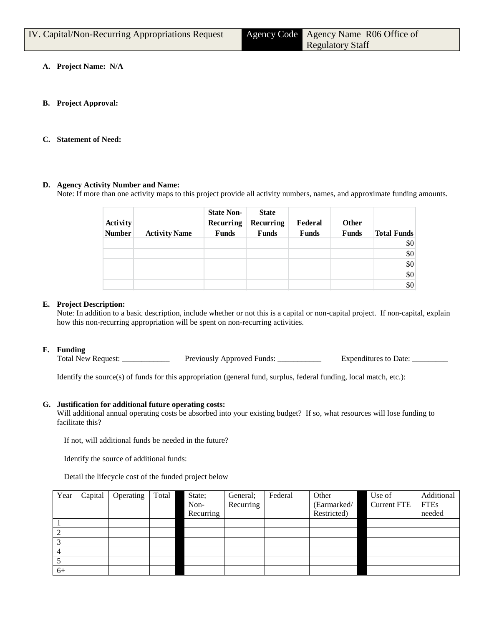| IV. Capital/Non-Recurring Appropriations Request | Agency Code Agency Name R06 Office of |
|--------------------------------------------------|---------------------------------------|
|                                                  | <b>Regulatory Staff</b>               |

- **A. Project Name: N/A**
- **B. Project Approval:**
- **C. Statement of Need:**

#### **D. Agency Activity Number and Name:**

Note: If more than one activity maps to this project provide all activity numbers, names, and approximate funding amounts.

| Activity<br><b>Number</b> | <b>Activity Name</b> | <b>State Non-</b><br>Recurring<br><b>Funds</b> | <b>State</b><br>Recurring<br><b>Funds</b> | Federal<br><b>Funds</b> | Other<br><b>Funds</b> | <b>Total Funds</b> |
|---------------------------|----------------------|------------------------------------------------|-------------------------------------------|-------------------------|-----------------------|--------------------|
|                           |                      |                                                |                                           |                         |                       | \$0                |
|                           |                      |                                                |                                           |                         |                       | \$0                |
|                           |                      |                                                |                                           |                         |                       | \$0\$              |
|                           |                      |                                                |                                           |                         |                       | \$0                |
|                           |                      |                                                |                                           |                         |                       | \$0                |

#### **E. Project Description:**

Note: In addition to a basic description, include whether or not this is a capital or non-capital project. If non-capital, explain how this non-recurring appropriation will be spent on non-recurring activities.

#### **F. Funding**

Total New Request: \_\_\_\_\_\_\_\_\_\_\_\_\_\_\_ Previously Approved Funds: \_\_\_\_\_\_\_\_\_\_\_\_ Expenditures to Date: \_\_\_

Identify the source(s) of funds for this appropriation (general fund, surplus, federal funding, local match, etc.):

#### **G. Justification for additional future operating costs:**

Will additional annual operating costs be absorbed into your existing budget? If so, what resources will lose funding to facilitate this?

If not, will additional funds be needed in the future?

Identify the source of additional funds:

Detail the lifecycle cost of the funded project below

| Year | Capital | Operating | Total | State;    | General;  | Federal | Other       | Use of             | Additional  |
|------|---------|-----------|-------|-----------|-----------|---------|-------------|--------------------|-------------|
|      |         |           |       | Non-      | Recurring |         | (Earmarked/ | <b>Current FTE</b> | <b>FTEs</b> |
|      |         |           |       | Recurring |           |         | Restricted) |                    | needed      |
|      |         |           |       |           |           |         |             |                    |             |
|      |         |           |       |           |           |         |             |                    |             |
| 2    |         |           |       |           |           |         |             |                    |             |
|      |         |           |       |           |           |         |             |                    |             |
|      |         |           |       |           |           |         |             |                    |             |
| $6+$ |         |           |       |           |           |         |             |                    |             |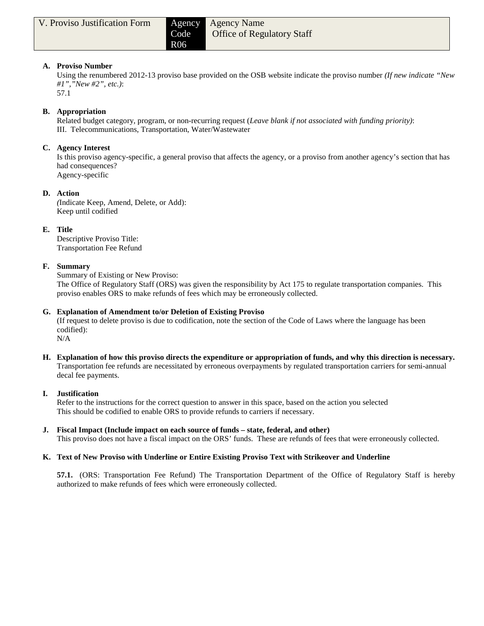#### **A. Proviso Number**

Using the renumbered 2012-13 proviso base provided on the OSB website indicate the proviso number *(If new indicate "New #1","New #2", etc.)*:

57.1

### **B. Appropriation**

Related budget category, program, or non-recurring request (*Leave blank if not associated with funding priority)*: III. Telecommunications, Transportation, Water/Wastewater

# **C. Agency Interest**

Is this proviso agency-specific, a general proviso that affects the agency, or a proviso from another agency's section that has had consequences? Agency-specific

#### **D. Action**

*(*Indicate Keep, Amend, Delete, or Add): Keep until codified

#### **E. Title**

Descriptive Proviso Title: Transportation Fee Refund

#### **F. Summary**

Summary of Existing or New Proviso:

The Office of Regulatory Staff (ORS) was given the responsibility by Act 175 to regulate transportation companies. This proviso enables ORS to make refunds of fees which may be erroneously collected.

#### **G. Explanation of Amendment to/or Deletion of Existing Proviso**

(If request to delete proviso is due to codification, note the section of the Code of Laws where the language has been codified):

N/A

**H. Explanation of how this proviso directs the expenditure or appropriation of funds, and why this direction is necessary.** Transportation fee refunds are necessitated by erroneous overpayments by regulated transportation carriers for semi-annual decal fee payments.

#### **I. Justification**

Refer to the instructions for the correct question to answer in this space, based on the action you selected This should be codified to enable ORS to provide refunds to carriers if necessary.

**J. Fiscal Impact (Include impact on each source of funds – state, federal, and other)** This proviso does not have a fiscal impact on the ORS' funds. These are refunds of fees that were erroneously collected.

#### **K. Text of New Proviso with Underline or Entire Existing Proviso Text with Strikeover and Underline**

**57.1.** (ORS: Transportation Fee Refund) The Transportation Department of the Office of Regulatory Staff is hereby authorized to make refunds of fees which were erroneously collected.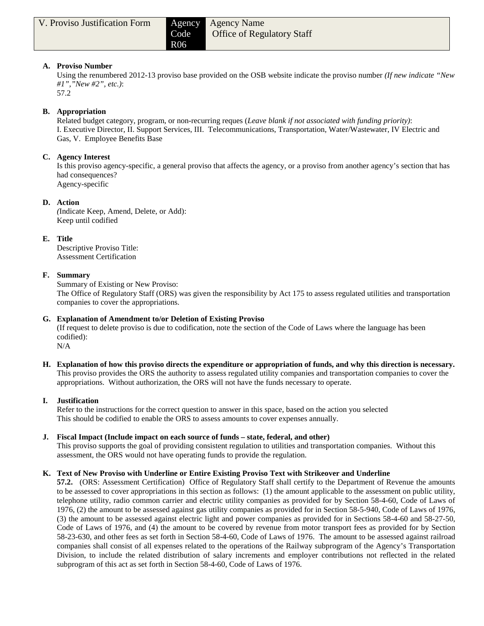# **A. Proviso Number**

Using the renumbered 2012-13 proviso base provided on the OSB website indicate the proviso number *(If new indicate "New #1","New #2", etc.)*:

57.2

### **B. Appropriation**

Related budget category, program, or non-recurring reques (*Leave blank if not associated with funding priority)*: I. Executive Director, II. Support Services, III. Telecommunications, Transportation, Water/Wastewater, IV Electric and Gas, V. Employee Benefits Base

# **C. Agency Interest**

Is this proviso agency-specific, a general proviso that affects the agency, or a proviso from another agency's section that has had consequences? Agency-specific

# **D. Action**

*(*Indicate Keep, Amend, Delete, or Add): Keep until codified

# **E. Title**

Descriptive Proviso Title: Assessment Certification

# **F. Summary**

Summary of Existing or New Proviso:

The Office of Regulatory Staff (ORS) was given the responsibility by Act 175 to assess regulated utilities and transportation companies to cover the appropriations.

#### **G. Explanation of Amendment to/or Deletion of Existing Proviso**

(If request to delete proviso is due to codification, note the section of the Code of Laws where the language has been codified):

N/A

**H. Explanation of how this proviso directs the expenditure or appropriation of funds, and why this direction is necessary.** This proviso provides the ORS the authority to assess regulated utility companies and transportation companies to cover the appropriations. Without authorization, the ORS will not have the funds necessary to operate.

#### **I. Justification**

Refer to the instructions for the correct question to answer in this space, based on the action you selected This should be codified to enable the ORS to assess amounts to cover expenses annually.

#### **J. Fiscal Impact (Include impact on each source of funds – state, federal, and other)**

This proviso supports the goal of providing consistent regulation to utilities and transportation companies. Without this assessment, the ORS would not have operating funds to provide the regulation.

# **K. Text of New Proviso with Underline or Entire Existing Proviso Text with Strikeover and Underline**

**57.2.** (ORS: Assessment Certification) Office of Regulatory Staff shall certify to the Department of Revenue the amounts to be assessed to cover appropriations in this section as follows: (1) the amount applicable to the assessment on public utility, telephone utility, radio common carrier and electric utility companies as provided for by Section 58-4-60, Code of Laws of 1976, (2) the amount to be assessed against gas utility companies as provided for in Section 58-5-940, Code of Laws of 1976, (3) the amount to be assessed against electric light and power companies as provided for in Sections 58-4-60 and 58-27-50, Code of Laws of 1976, and (4) the amount to be covered by revenue from motor transport fees as provided for by Section 58-23-630, and other fees as set forth in Section 58-4-60, Code of Laws of 1976. The amount to be assessed against railroad companies shall consist of all expenses related to the operations of the Railway subprogram of the Agency's Transportation Division, to include the related distribution of salary increments and employer contributions not reflected in the related subprogram of this act as set forth in Section 58-4-60, Code of Laws of 1976.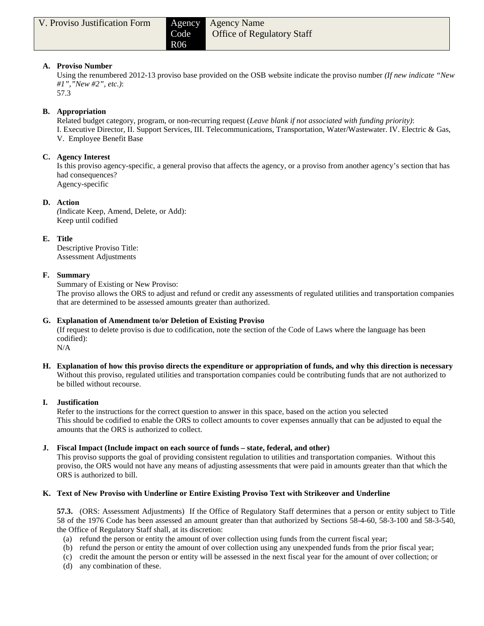#### **A. Proviso Number**

Using the renumbered 2012-13 proviso base provided on the OSB website indicate the proviso number *(If new indicate "New #1","New #2", etc.)*:

57.3

#### **B. Appropriation**

Related budget category, program, or non-recurring request (*Leave blank if not associated with funding priority)*: I. Executive Director, II. Support Services, III. Telecommunications, Transportation, Water/Wastewater. IV. Electric & Gas, V. Employee Benefit Base

### **C. Agency Interest**

Is this proviso agency-specific, a general proviso that affects the agency, or a proviso from another agency's section that has had consequences? Agency-specific

#### **D. Action**

*(*Indicate Keep, Amend, Delete, or Add): Keep until codified

#### **E. Title**

Descriptive Proviso Title: Assessment Adjustments

#### **F. Summary**

Summary of Existing or New Proviso:

The proviso allows the ORS to adjust and refund or credit any assessments of regulated utilities and transportation companies that are determined to be assessed amounts greater than authorized.

#### **G. Explanation of Amendment to/or Deletion of Existing Proviso**

(If request to delete proviso is due to codification, note the section of the Code of Laws where the language has been codified):

N/A

**H. Explanation of how this proviso directs the expenditure or appropriation of funds, and why this direction is necessary** Without this proviso, regulated utilities and transportation companies could be contributing funds that are not authorized to be billed without recourse.

#### **I. Justification**

Refer to the instructions for the correct question to answer in this space, based on the action you selected This should be codified to enable the ORS to collect amounts to cover expenses annually that can be adjusted to equal the amounts that the ORS is authorized to collect.

#### **J. Fiscal Impact (Include impact on each source of funds – state, federal, and other)**

This proviso supports the goal of providing consistent regulation to utilities and transportation companies. Without this proviso, the ORS would not have any means of adjusting assessments that were paid in amounts greater than that which the ORS is authorized to bill.

# **K. Text of New Proviso with Underline or Entire Existing Proviso Text with Strikeover and Underline**

**57.3.** (ORS: Assessment Adjustments) If the Office of Regulatory Staff determines that a person or entity subject to Title 58 of the 1976 Code has been assessed an amount greater than that authorized by Sections 58-4-60, 58-3-100 and 58-3-540, the Office of Regulatory Staff shall, at its discretion:

- (a) refund the person or entity the amount of over collection using funds from the current fiscal year;
- (b) refund the person or entity the amount of over collection using any unexpended funds from the prior fiscal year;
- (c) credit the amount the person or entity will be assessed in the next fiscal year for the amount of over collection; or
- (d) any combination of these.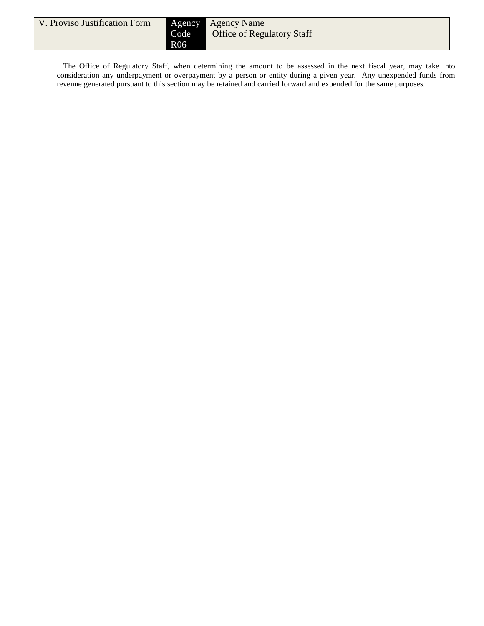| V. Proviso Justification Form | Code<br><b>R06</b> | <b>Agency</b> Agency Name<br><b>Office of Regulatory Staff</b> |
|-------------------------------|--------------------|----------------------------------------------------------------|
|-------------------------------|--------------------|----------------------------------------------------------------|

The Office of Regulatory Staff, when determining the amount to be assessed in the next fiscal year, may take into consideration any underpayment or overpayment by a person or entity during a given year. Any unexpended funds from revenue generated pursuant to this section may be retained and carried forward and expended for the same purposes.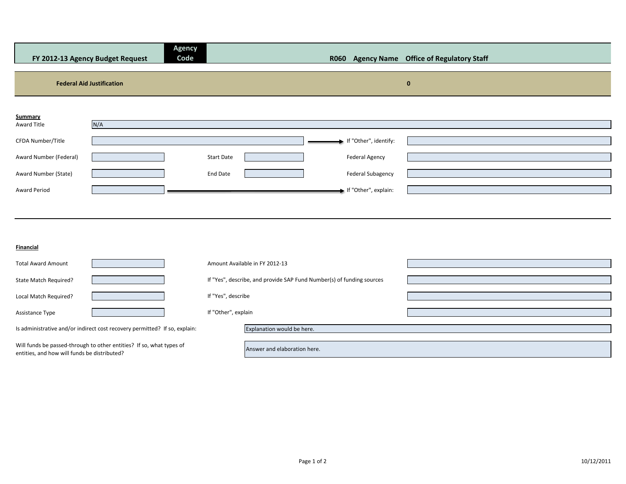| FY 2012-13 Agency Budget Request             | <b>Agency</b><br>Code                                                      |                                                                       |                       | R060 Agency Name Office of Regulatory Staff |
|----------------------------------------------|----------------------------------------------------------------------------|-----------------------------------------------------------------------|-----------------------|---------------------------------------------|
|                                              |                                                                            |                                                                       |                       |                                             |
| <b>Federal Aid Justification</b>             |                                                                            |                                                                       |                       | $\bf{0}$                                    |
|                                              |                                                                            |                                                                       |                       |                                             |
| Summary                                      |                                                                            |                                                                       |                       |                                             |
| Award Title                                  | N/A                                                                        |                                                                       |                       |                                             |
| CFDA Number/Title                            |                                                                            |                                                                       | If "Other", identify: |                                             |
| Award Number (Federal)                       |                                                                            | <b>Start Date</b>                                                     | Federal Agency        |                                             |
|                                              |                                                                            |                                                                       |                       |                                             |
| Award Number (State)                         |                                                                            | End Date                                                              | Federal Subagency     |                                             |
| Award Period                                 |                                                                            |                                                                       | If "Other", explain:  |                                             |
|                                              |                                                                            |                                                                       |                       |                                             |
|                                              |                                                                            |                                                                       |                       |                                             |
|                                              |                                                                            |                                                                       |                       |                                             |
| Financial                                    |                                                                            |                                                                       |                       |                                             |
| <b>Total Award Amount</b>                    |                                                                            | Amount Available in FY 2012-13                                        |                       |                                             |
| State Match Required?                        |                                                                            | If "Yes", describe, and provide SAP Fund Number(s) of funding sources |                       |                                             |
|                                              |                                                                            |                                                                       |                       |                                             |
| Local Match Required?                        |                                                                            | If "Yes", describe                                                    |                       |                                             |
| Assistance Type                              |                                                                            | If "Other", explain                                                   |                       |                                             |
|                                              | Is administrative and/or indirect cost recovery permitted? If so, explain: | Explanation would be here.                                            |                       |                                             |
|                                              |                                                                            |                                                                       |                       |                                             |
| entities, and how will funds be distributed? | Will funds be passed-through to other entities? If so, what types of       | Answer and elaboration here.                                          |                       |                                             |